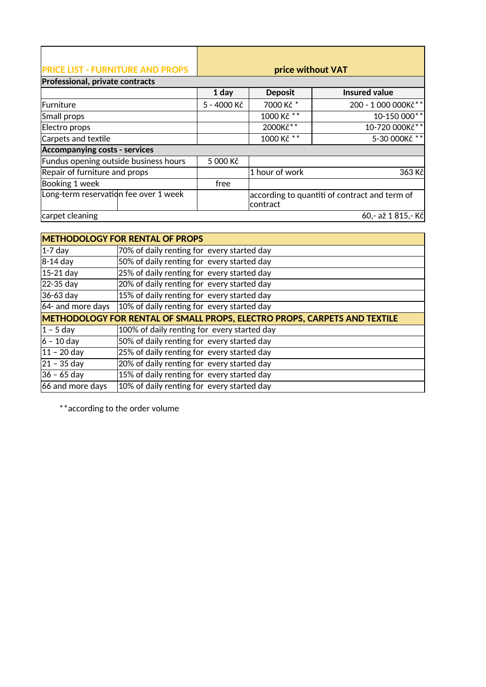| <b>PRICE LIST - FURNITURE AND PROPS</b> |             |                | price without VAT                             |
|-----------------------------------------|-------------|----------------|-----------------------------------------------|
| Professional, private contracts         |             |                |                                               |
|                                         | 1 day       | <b>Deposit</b> | <b>Insured value</b>                          |
| Furniture                               | 5 - 4000 Kč | 7000 Kč *      | 200 - 1 000 000Kč**                           |
| Small props                             |             | 1000 Kč **     | 10-150 000**                                  |
| Electro props                           |             | 2000Kč**       | 10-720 000Kč**                                |
| Carpets and textile                     |             | 1000 Kč **     | 5-30 000Kč **                                 |
| <b>Accompanying costs - services</b>    |             |                |                                               |
| Fundus opening outside business hours   | 5 000 Kč    |                |                                               |
| Repair of furniture and props           |             | 1 hour of work | 363 Kč                                        |
| Booking 1 week                          | free        |                |                                               |
| Long-term reservation fee over 1 week   |             | contract       | according to quantiti of contract and term of |
| carpet cleaning                         |             |                | 60,- až 1815,-Kč                              |

|                   | <b>METHODOLOGY FOR RENTAL OF PROPS</b>                                    |
|-------------------|---------------------------------------------------------------------------|
| 1-7 day           | 70% of daily renting for every started day                                |
| 8-14 day          | 50% of daily renting for every started day                                |
| $15-21$ day       | 25% of daily renting for every started day                                |
| 22-35 day         | 20% of daily renting for every started day                                |
| 36-63 day         | 15% of daily renting for every started day                                |
| 64- and more days | 10% of daily renting for every started day                                |
|                   |                                                                           |
|                   | METHODOLOGY FOR RENTAL OF SMALL PROPS, ELECTRO PROPS, CARPETS AND TEXTILE |
| $ 1 - 5$ day      | 100% of daily renting for every started day                               |
| $ 6 - 10$ day     | 50% of daily renting for every started day                                |
| $ 11 - 20$ day    | 25% of daily renting for every started day                                |
| $ 21 - 35$ day    | 20% of daily renting for every started day                                |
| $ 36 - 65 $ day   | 15% of daily renting for every started day                                |

\*\*according to the order volume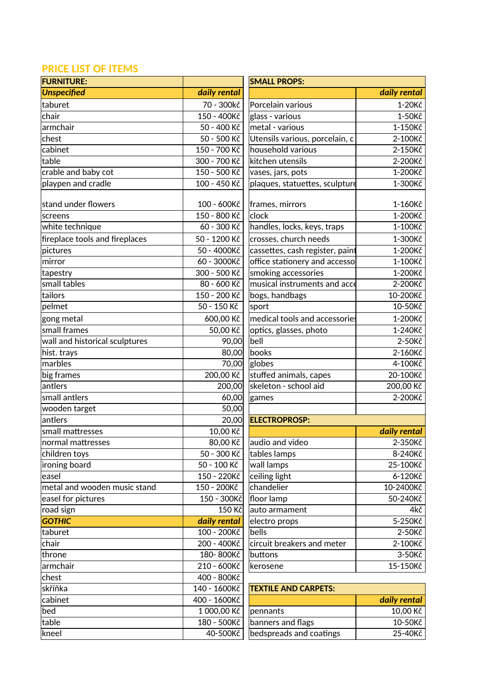## **PRICE LIST OF ITEMS**

| <b>FURNITURE:</b>              |                 | <b>SMALL PROPS:</b>             |              |
|--------------------------------|-----------------|---------------------------------|--------------|
| <b>Unspecified</b>             | daily rental    |                                 | daily rental |
| taburet                        | 70 - 300kč      | Porcelain various               | 1-20Kč       |
| chair                          | 150 - 400Kč     | glass - various                 | 1-50Kč       |
| armchair                       | 50 - 400 Kč     | metal - various                 | 1-150Kč      |
| chest                          | 50 - 500 Kč     | Utensils various, porcelain, c  | 2-100Kč      |
| cabinet                        | 150 - 700 Kč    | household various               | 2-150Kč      |
| table                          | 300 - 700 Kč    | kitchen utensils                | 2-200Kč      |
| crable and baby cot            | 150 - 500 Kč    | vases, jars, pots               | 1-200Kč      |
| playpen and cradle             | 100 - 450 Kč    | plaques, statuettes, sculpture  | 1-300Kč      |
|                                |                 |                                 |              |
| stand under flowers            | 100 - 600Kč     | frames, mirrors                 | 1-160Kč      |
| screens                        | 150 - 800 Kč    | clock                           | 1-200Kč      |
| white technique                | 60 - 300 Kč     | handles, locks, keys, traps     | 1-100Kč      |
| fireplace tools and fireplaces | 50 - 1200 Kč    | crosses, church needs           | 1-300Kč      |
| pictures                       | 50 - 4000Kč     | cassettes, cash register, paint | 1-200Kč      |
| mirror                         | 60 - 3000Kč     | office stationery and accesso   | 1-100Kč      |
| tapestry                       | 300 - 500 Kč    | smoking accessories             | 1-200Kč      |
| small tables                   | 80 - 600 Kč     | musical instruments and acce    | 2-200Kč      |
| tailors                        | 150 - 200 Kč    | bogs, handbags                  | 10-200Kč     |
| pelmet                         | 50 - 150 Kč     | sport                           | 10-50Kč      |
| gong metal                     | 600,00 Kč       | medical tools and accessories   | 1-200Kč      |
| small frames                   | 50,00 Kč        | optics, glasses, photo          | 1-240Kč      |
| wall and historical sculptures | 90,00           | bell                            | 2-50Kč       |
| hist. trays                    | 80,00           | books                           | 2-160Kč      |
| marbles                        | 70,00           | globes                          | 4-100Kč      |
| big frames                     | 200,00 Kč       | stuffed animals, capes          | 20-100Kč     |
| antlers                        | 200,00          | skeleton - school aid           | 200,00 Kč    |
| small antlers                  | 60,00           | games                           | 2-200Kč      |
| wooden target                  | 50,00           |                                 |              |
| antlers                        | 20,00           | <b>ELECTROPROSP:</b>            |              |
| small mattresses               | 10,00 Kč        |                                 | daily rental |
| normal mattresses              | 80,00 Kč        | audio and video                 | 2-350Kč      |
| children toys                  | 50 - 300 Kč     | tables lamps                    | 8-240Kč      |
| ironing board                  | 50 - 100 Kč     | wall lamps                      | 25-100Kč     |
| easel                          | 150 - 220Kč     | ceiling light                   | 6-120Kč      |
| metal and wooden music stand   | 150 - 200Kč     | chandelier                      | 10-2400Kč    |
| easel for pictures             | 150 - 300Kč     | floor lamp                      | 50-240Kč     |
| road sign                      | 150 Kč          | auto armament                   | 4kč          |
| <b>GOTHIC</b>                  | daily rental    | electro props                   | 5-250Kč      |
| taburet                        | 100 - 200Kč     | bells                           | 2-50Kč       |
| chair                          | 200 - 400Kč     | circuit breakers and meter      | 2-100Kč      |
|                                | 180-800Kč       | buttons                         |              |
| throne                         |                 |                                 | 3-50Kč       |
| armchair                       | 210 - 600Kč     | kerosene                        | 15-150Kč     |
| chest                          | 400 - 800Kč     |                                 |              |
| skříňka                        | $140 - 1600K$ č | <b>TEXTILE AND CARPETS:</b>     |              |
| cabinet                        | 400 - 1600Kč    |                                 | daily rental |
| bed                            | 1 000,00 Kč     | pennants                        | 10,00 Kč     |
| table                          | 180 - 500Kč     | banners and flags               | 10-50Kč      |
| kneel                          | 40-500Kč        | bedspreads and coatings         | 25-40Kč      |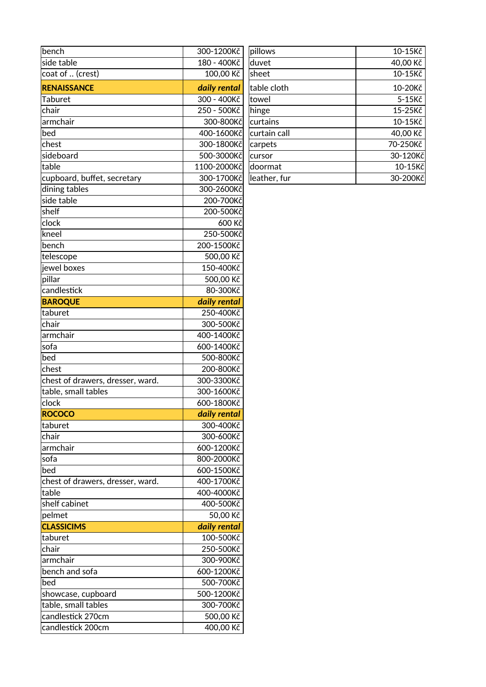| bench                            | 300-1200Kč   | pillows      | 10-15Kč  |
|----------------------------------|--------------|--------------|----------|
| side table                       | 180 - 400Kč  | duvet        | 40,00 Kč |
| coat of  (crest)                 | 100,00 Kč    | sheet        | 10-15Kč  |
| <b>RENAISSANCE</b>               | daily rental | table cloth  | 10-20Kč  |
| Taburet                          | 300 - 400Kč  | towel        | 5-15Kč   |
| chair                            | 250 - 500Kč  | hinge        | 15-25Kč  |
| armchair                         | 300-800Kč    | curtains     | 10-15Kč  |
| bed                              | 400-1600Kč   | curtain call | 40,00 Kč |
| chest                            | 300-1800Kč   | carpets      | 70-250Kč |
| sideboard                        | 500-3000Kč   | cursor       | 30-120Kč |
| table                            | 1100-2000Kč  | doormat      | 10-15Kč  |
| cupboard, buffet, secretary      | 300-1700Kč   | leather, fur | 30-200Kč |
| dining tables                    | 300-2600Kč   |              |          |
| side table                       | 200-700Kč    |              |          |
| shelf                            | 200-500Kč    |              |          |
| clock                            | 600 Kč       |              |          |
| kneel                            | 250-500Kč    |              |          |
| bench                            | 200-1500Kč   |              |          |
| telescope                        | 500,00 Kč    |              |          |
| jewel boxes                      | 150-400Kč    |              |          |
| pillar                           | 500,00 Kč    |              |          |
| candlestick                      | 80-300Kč     |              |          |
| <b>BAROQUE</b>                   | daily rental |              |          |
| taburet                          | 250-400Kč    |              |          |
| chair                            | 300-500Kč    |              |          |
| armchair                         | 400-1400Kč   |              |          |
| sofa                             | 600-1400Kč   |              |          |
| bed                              | 500-800Kč    |              |          |
| chest                            | 200-800Kč    |              |          |
| chest of drawers, dresser, ward. | 300-3300Kč   |              |          |
| table, small tables              | 300-1600Kč   |              |          |
| clock                            | 600-1800Kč   |              |          |
| ROCOCO                           | daily rental |              |          |
| taburet                          | 300-400Kč    |              |          |
| chair                            | 300-600Kč    |              |          |
| armchair                         | 600-1200Kč   |              |          |
| sofa                             | 800-2000Kč   |              |          |
| bed                              | 600-1500Kč   |              |          |
| chest of drawers, dresser, ward. | 400-1700Kč   |              |          |
| table                            | 400-4000Kč   |              |          |
| shelf cabinet                    | 400-500Kč    |              |          |
| pelmet                           | 50,00 Kč     |              |          |
| <b>CLASSICIMS</b>                | daily rental |              |          |
| taburet                          | 100-500Kč    |              |          |
| chair                            | 250-500Kč    |              |          |
| armchair                         | 300-900Kč    |              |          |
| bench and sofa                   | 600-1200Kč   |              |          |
| bed                              | 500-700Kč    |              |          |
| showcase, cupboard               | 500-1200Kč   |              |          |
| table, small tables              | 300-700Kč    |              |          |
| candlestick 270cm                | 500,00 Kč    |              |          |
| candlestick 200cm                | 400,00 Kč    |              |          |

| pillows      | 10-15Kč   |
|--------------|-----------|
| duvet        | 40,00 Kč  |
| sheet        | 10-15Kč   |
| table cloth  | 10-20Kč   |
| towel        | $5-15K$ č |
| hinge        | 15-25Kč   |
| curtains     | 10-15Kč   |
| curtain call | 40,00 Kč  |
| carpets      | 70-250Kč  |
| cursor       | 30-120Kč  |
| doormat      | 10-15Kč   |
| leather, fur | 30-200Kč  |
|              |           |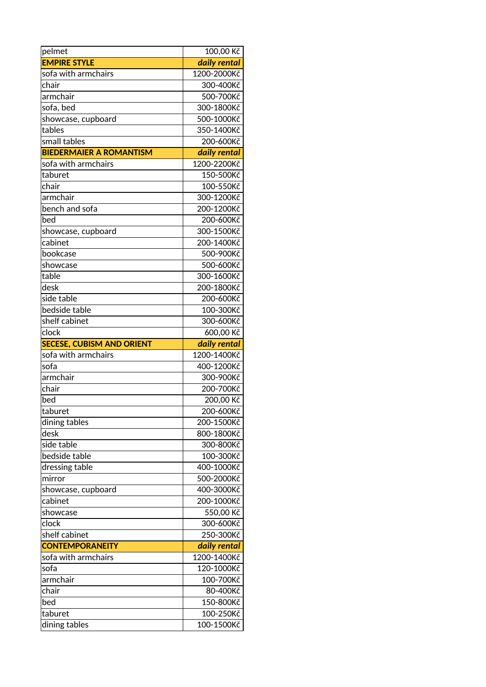| pelmet                           | 100,00 Kč               |
|----------------------------------|-------------------------|
| <b>EMPIRE STYLE</b>              | daily rental            |
| sofa with armchairs              | 1200-2000Kč             |
| chair                            | 300-400Kč               |
| armchair                         | 500-700Kč               |
| sofa, bed                        | 300-1800Kč              |
| showcase, cupboard               | 500-1000Kč              |
| tables                           | 350-1400Kč              |
| small tables                     | 200-600Kč               |
| <b>BIEDERMAIER A ROMANTISM</b>   | daily rental            |
| sofa with armchairs              | 1200-2200Kč             |
| taburet                          | 150-500Kč               |
| chair                            | 100-550Kč               |
| armchair                         | 300-1200Kč              |
| bench and sofa                   | 200-1200Kč              |
| bed                              | 200-600Kč               |
| showcase, cupboard               | 300-1500Kč              |
| cabinet                          | 200-1400Kč              |
| bookcase                         | 500-900Kč               |
| showcase                         | 500-600Kč               |
| table                            | 300-1600Kč              |
| desk                             | 200-1800Kč              |
| side table                       | 200-600Kč               |
| bedside table                    | 100-300Kč               |
| shelf cabinet                    | 300-600Kč               |
| clock                            | 600,00 Kč               |
|                                  |                         |
| <b>SECESE, CUBISM AND ORIENT</b> | daily rental            |
| sofa with armchairs              | 1200-1400Kč             |
| sofa                             | 400-1200Kč              |
| armchair                         | 300-900Kč               |
| chair                            | 200-700Kč               |
| bed                              | 200,00 Kč               |
| taburet                          | 200-600Kč               |
| dining tables                    | 200-1500Kč              |
| desk                             | 800-1800Kč              |
| side table                       | 300-800Kč               |
| bedside table                    | 100-300Kč               |
| dressing table                   | 400-1000Kč              |
| mirror                           | 500-2000Kč              |
| showcase, cupboard               | 400-3000Kč              |
| cabinet                          | 200-1000Kč              |
| showcase                         | 550,00 Kč               |
| clock                            | 300-600Kč               |
| shelf cabinet                    | 250-300Kč               |
| <b>CONTEMPORANEITY</b>           | daily rental            |
| sofa with armchairs              | 1200-1400Kč             |
| sofa                             | 120-1000Kč              |
| armchair                         | 100-700Kč               |
| chair                            | 80-400Kč                |
| bed                              | 150-800Kč               |
| taburet<br>dining tables         | 100-250Kč<br>100-1500Kč |